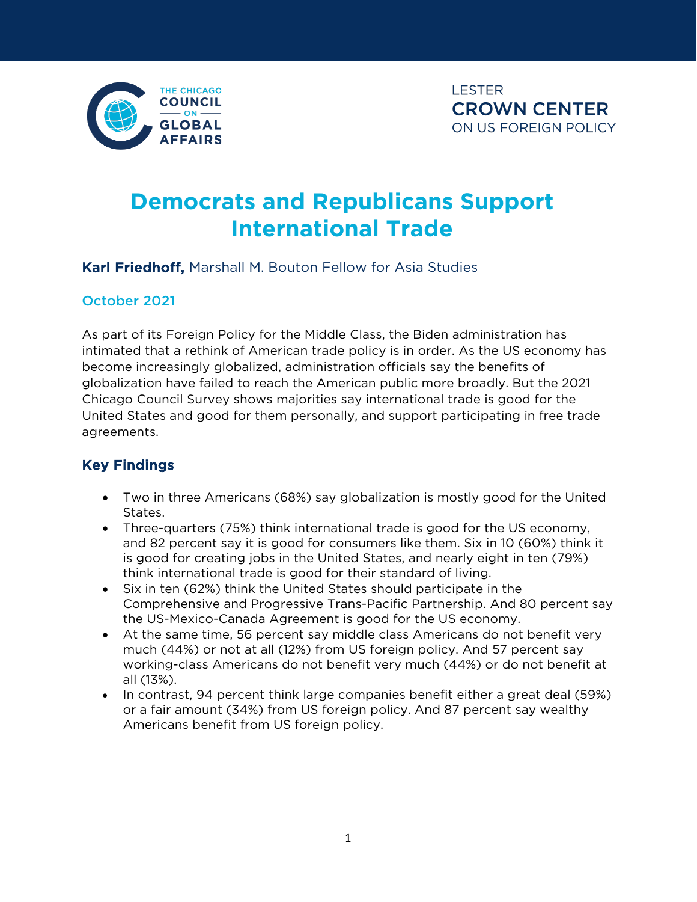

# **Democrats and Republicans Support International Trade**

#### Karl Friedhoff, Marshall M. Bouton Fellow for Asia Studies

#### October 2021

As part of its Foreign Policy for the Middle Class, the Biden administration has intimated that a rethink of American trade policy is in order. As the US economy has become increasingly globalized, administration officials say the benefits of globalization have failed to reach the American public more broadly. But the 2021 Chicago Council Survey shows majorities say international trade is good for the United States and good for them personally, and support participating in free trade agreements.

#### Key Findings

- Two in three Americans (68%) say globalization is mostly good for the United States.
- Three-quarters (75%) think international trade is good for the US economy, and 82 percent say it is good for consumers like them. Six in 10 (60%) think it is good for creating jobs in the United States, and nearly eight in ten (79%) think international trade is good for their standard of living.
- Six in ten (62%) think the United States should participate in the Comprehensive and Progressive Trans-Pacific Partnership. And 80 percent say the US-Mexico-Canada Agreement is good for the US economy.
- At the same time, 56 percent say middle class Americans do not benefit very much (44%) or not at all (12%) from US foreign policy. And 57 percent say working-class Americans do not benefit very much (44%) or do not benefit at all (13%).
- In contrast, 94 percent think large companies benefit either a great deal (59%) or a fair amount (34%) from US foreign policy. And 87 percent say wealthy Americans benefit from US foreign policy.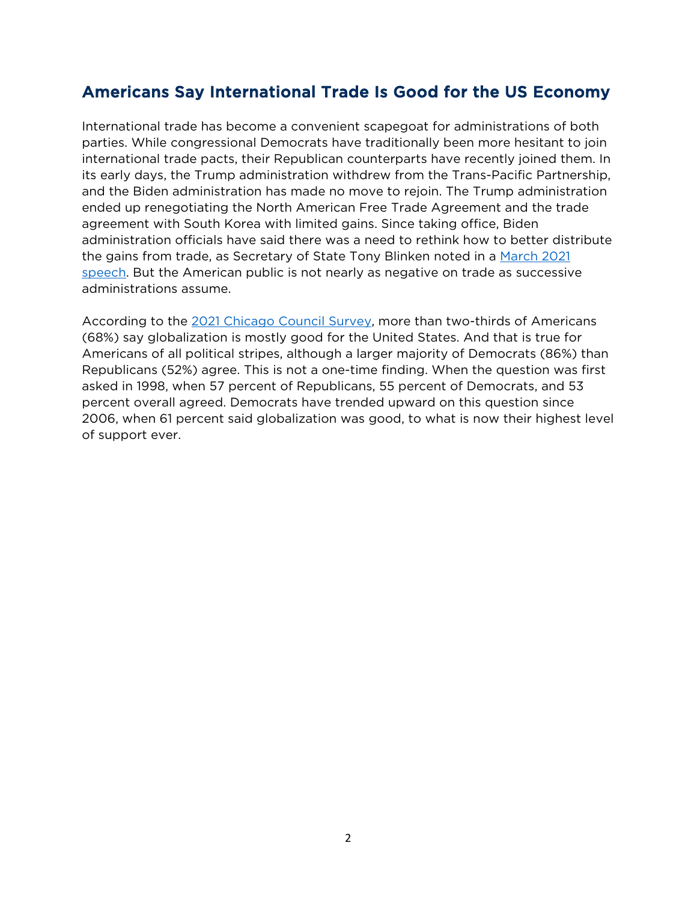### Americans Say International Trade Is Good for the US Economy

International trade has become a convenient scapegoat for administrations of both parties. While congressional Democrats have traditionally been more hesitant to join international trade pacts, their Republican counterparts have recently joined them. In its early days, the Trump administration withdrew from the Trans-Pacific Partnership, and the Biden administration has made no move to rejoin. The Trump administration ended up renegotiating the North American Free Trade Agreement and the trade agreement with South Korea with limited gains. Since taking office, Biden administration officials have said there was a need to rethink how to better distribute the gains from trade, as Secretary of State Tony Blinken noted in a March 2021 [speech.](https://www.state.gov/a-foreign-policy-for-the-american-people/) But the American public is not nearly as negative on trade as successive administrations assume.

According to the [2021 Chicago Council Survey,](https://www.thechicagocouncil.org/sites/default/files/2021-10/ccs2021_fpmc_0.pdf) more than two-thirds of Americans (68%) say globalization is mostly good for the United States. And that is true for Americans of all political stripes, although a larger majority of Democrats (86%) than Republicans (52%) agree. This is not a one-time finding. When the question was first asked in 1998, when 57 percent of Republicans, 55 percent of Democrats, and 53 percent overall agreed. Democrats have trended upward on this question since 2006, when 61 percent said globalization was good, to what is now their highest level of support ever.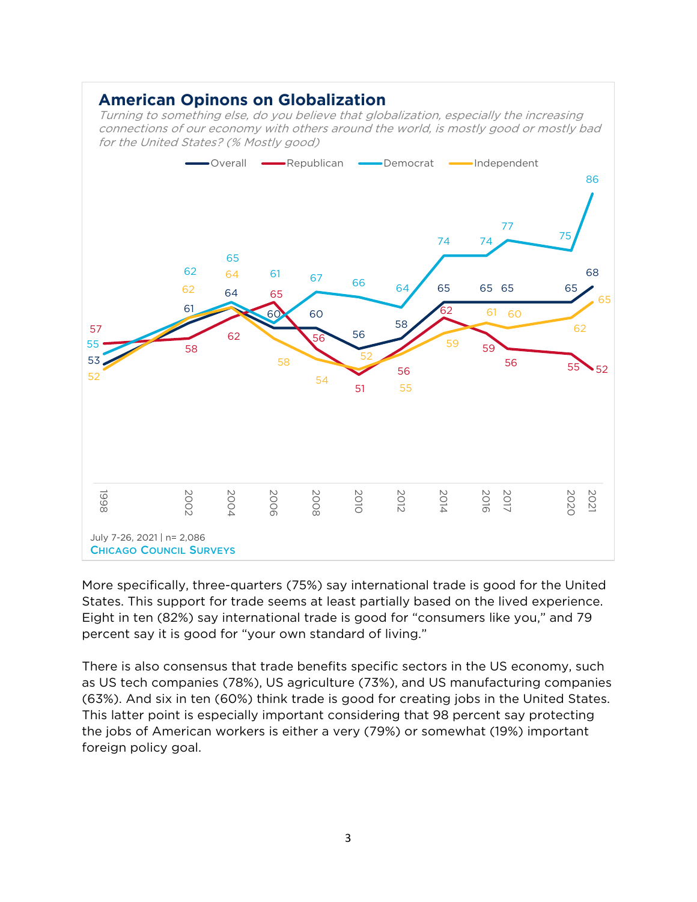#### **American Opinons on Globalization**

Turning to something else, do you believe that globalization, especially the increasing connections of our economy with others around the world, is mostly good or mostly bad for the United States? (% Mostly good)



More specifically, three-quarters (75%) say international trade is good for the United States. This support for trade seems at least partially based on the lived experience. Eight in ten (82%) say international trade is good for "consumers like you," and 79 percent say it is good for "your own standard of living."

There is also consensus that trade benefits specific sectors in the US economy, such as US tech companies (78%), US agriculture (73%), and US manufacturing companies (63%). And six in ten (60%) think trade is good for creating jobs in the United States. This latter point is especially important considering that 98 percent say protecting the jobs of American workers is either a very (79%) or somewhat (19%) important foreign policy goal.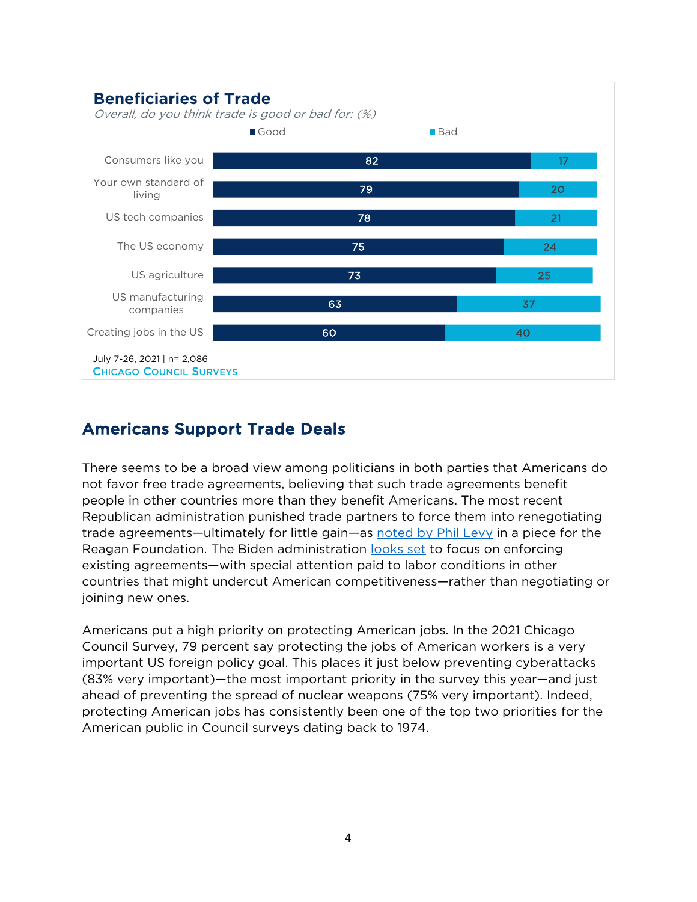

# Americans Support Trade Deals

There seems to be a broad view among politicians in both parties that Americans do not favor free trade agreements, believing that such trade agreements benefit people in other countries more than they benefit Americans. The most recent Republican administration punished trade partners to force them into renegotiating trade agreements—ultimately for little gain—as [noted by Phil Levy](https://www.reaganfoundation.org/reagan-institute/publications/is-the-gop-still-the-party-of-free-trade/) in a piece for the Reagan Foundation. The Biden administration [looks set](https://www.bloomberg.com/news/articles/2021-02-01/biden-to-focus-on-trade-enforcement-after-years-of-trump-tariffs) to focus on enforcing existing agreements—with special attention paid to labor conditions in other countries that might undercut American competitiveness—rather than negotiating or joining new ones.

Americans put a high priority on protecting American jobs. In the 2021 Chicago Council Survey, 79 percent say protecting the jobs of American workers is a very important US foreign policy goal. This places it just below preventing cyberattacks (83% very important)—the most important priority in the survey this year—and just ahead of preventing the spread of nuclear weapons (75% very important). Indeed, protecting American jobs has consistently been one of the top two priorities for the American public in Council surveys dating back to 1974.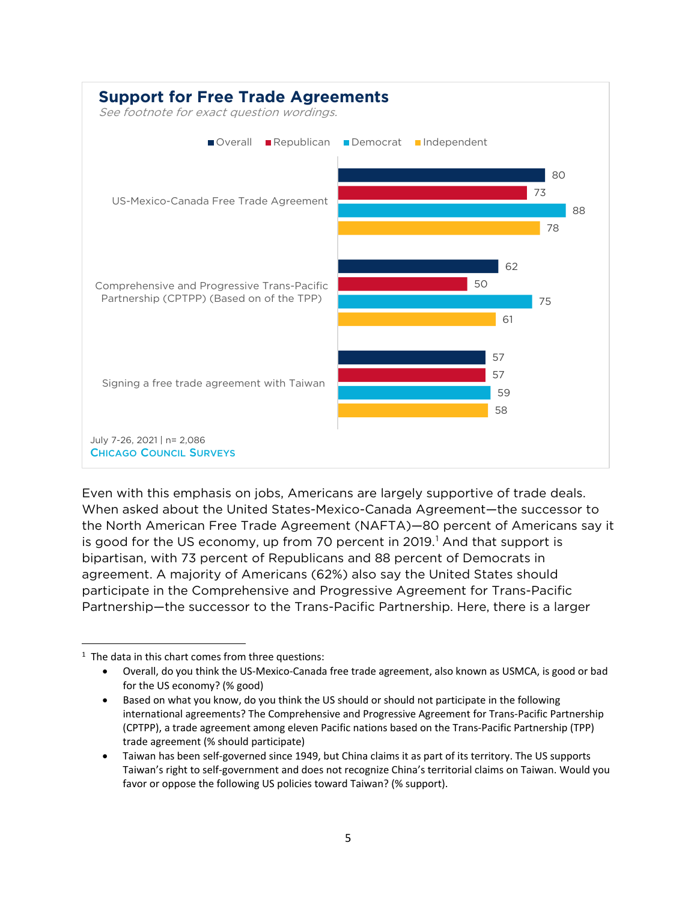

Even with this emphasis on jobs, Americans are largely supportive of trade deals. When asked about the United States-Mexico-Canada Agreement—the successor to the North American Free Trade Agreement (NAFTA)—80 percent of Americans say it is good for the US economy, up from 70 percent in  $2019<sup>1</sup>$  $2019<sup>1</sup>$  $2019<sup>1</sup>$  And that support is bipartisan, with 73 percent of Republicans and 88 percent of Democrats in agreement. A majority of Americans (62%) also say the United States should participate in the Comprehensive and Progressive Agreement for Trans-Pacific Partnership—the successor to the Trans-Pacific Partnership. Here, there is a larger

<span id="page-4-0"></span> $1$  The data in this chart comes from three questions:

<sup>•</sup> Overall, do you think the US-Mexico-Canada free trade agreement, also known as USMCA, is good or bad for the US economy? (% good)

<sup>•</sup> Based on what you know, do you think the US should or should not participate in the following international agreements? The Comprehensive and Progressive Agreement for Trans-Pacific Partnership (CPTPP), a trade agreement among eleven Pacific nations based on the Trans-Pacific Partnership (TPP) trade agreement (% should participate)

<sup>•</sup> Taiwan has been self-governed since 1949, but China claims it as part of its territory. The US supports Taiwan's right to self-government and does not recognize China's territorial claims on Taiwan. Would you favor or oppose the following US policies toward Taiwan? (% support).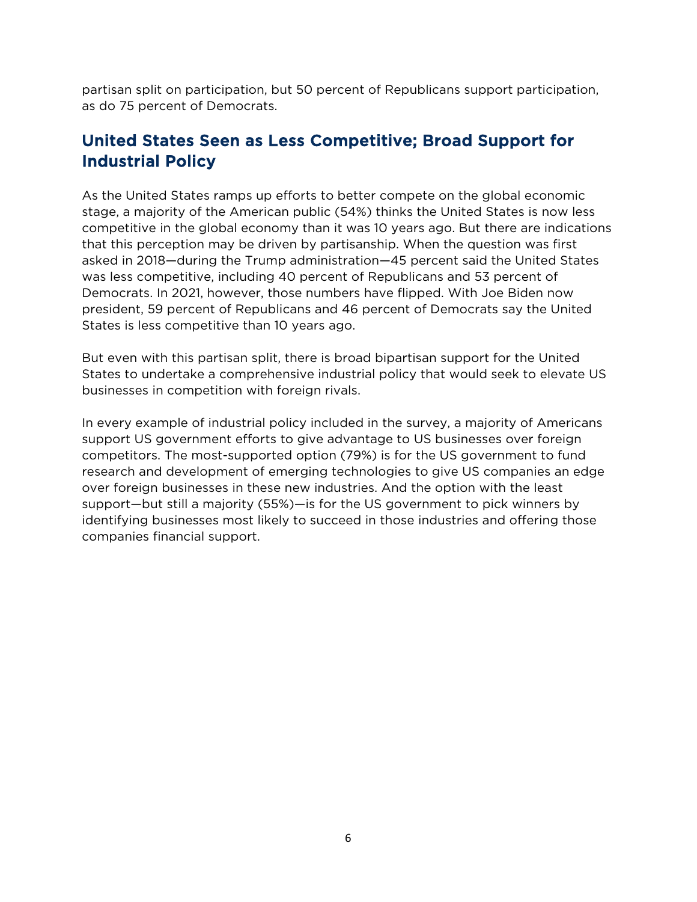partisan split on participation, but 50 percent of Republicans support participation, as do 75 percent of Democrats.

# United States Seen as Less Competitive; Broad Support for Industrial Policy

As the United States ramps up efforts to better compete on the global economic stage, a majority of the American public (54%) thinks the United States is now less competitive in the global economy than it was 10 years ago. But there are indications that this perception may be driven by partisanship. When the question was first asked in 2018—during the Trump administration—45 percent said the United States was less competitive, including 40 percent of Republicans and 53 percent of Democrats. In 2021, however, those numbers have flipped. With Joe Biden now president, 59 percent of Republicans and 46 percent of Democrats say the United States is less competitive than 10 years ago.

But even with this partisan split, there is broad bipartisan support for the United States to undertake a comprehensive industrial policy that would seek to elevate US businesses in competition with foreign rivals.

In every example of industrial policy included in the survey, a majority of Americans support US government efforts to give advantage to US businesses over foreign competitors. The most-supported option (79%) is for the US government to fund research and development of emerging technologies to give US companies an edge over foreign businesses in these new industries. And the option with the least support—but still a majority (55%)—is for the US government to pick winners by identifying businesses most likely to succeed in those industries and offering those companies financial support.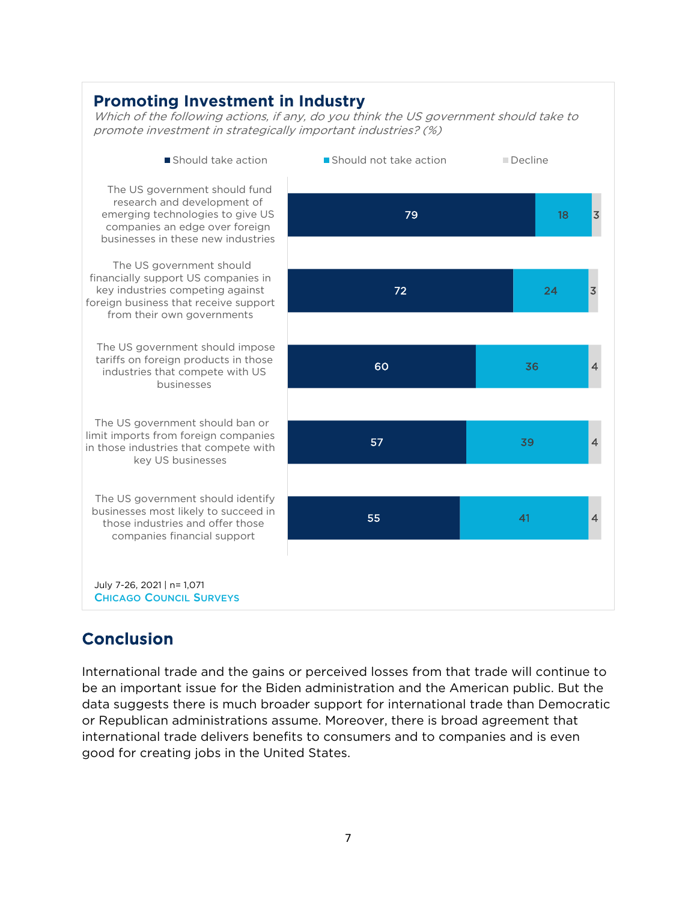#### **Promoting Investment in Industry**

Which of the following actions, if any, do you think the US government should take to promote investment in strategically important industries? (%)



# **Conclusion**

International trade and the gains or perceived losses from that trade will continue to be an important issue for the Biden administration and the American public. But the data suggests there is much broader support for international trade than Democratic or Republican administrations assume. Moreover, there is broad agreement that international trade delivers benefits to consumers and to companies and is even good for creating jobs in the United States.